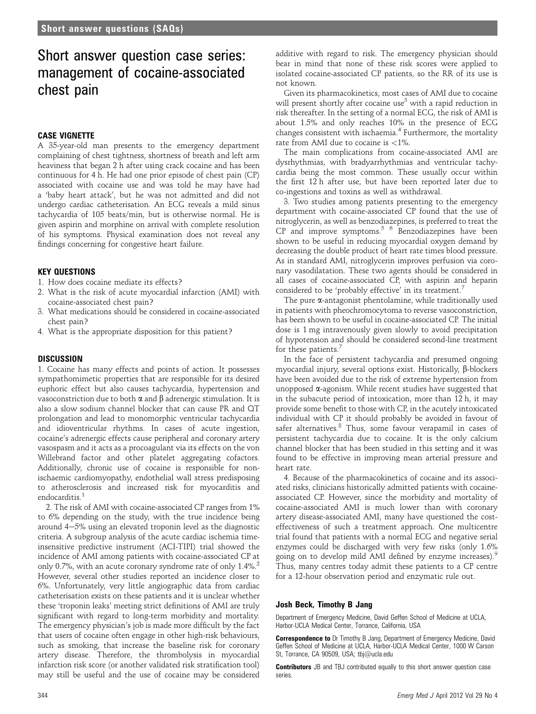# Short answer question case series: management of cocaine-associated chest pain

# CASE VIGNETTE

A 35-year-old man presents to the emergency department complaining of chest tightness, shortness of breath and left arm heaviness that began 2 h after using crack cocaine and has been continuous for 4 h. He had one prior episode of chest pain (CP) associated with cocaine use and was told he may have had a 'baby heart attack', but he was not admitted and did not undergo cardiac catheterisation. An ECG reveals a mild sinus tachycardia of 105 beats/min, but is otherwise normal. He is given aspirin and morphine on arrival with complete resolution of his symptoms. Physical examination does not reveal any findings concerning for congestive heart failure.

## KEY QUESTIONS

- 1. How does cocaine mediate its effects?
- 2. What is the risk of acute myocardial infarction (AMI) with cocaine-associated chest pain?
- 3. What medications should be considered in cocaine-associated chest pain?
- 4. What is the appropriate disposition for this patient?

#### **DISCUSSION**

1. Cocaine has many effects and points of action. It possesses sympathomimetic properties that are responsible for its desired euphoric effect but also causes tachycardia, hypertension and vasoconstriction due to both  $\alpha$  and  $\beta$  adrenergic stimulation. It is also a slow sodium channel blocker that can cause PR and QT prolongation and lead to monomorphic ventricular tachycardia and idioventricular rhythms. In cases of acute ingestion, cocaine's adrenergic effects cause peripheral and coronary artery vasospasm and it acts as a procoagulant via its effects on the von Willebrand factor and other platelet aggregating cofactors. Additionally, chronic use of cocaine is responsible for nonischaemic cardiomyopathy, endothelial wall stress predisposing to atherosclerosis and increased risk for myocarditis and endocarditis.<sup>1</sup>

2. The risk of AMI with cocaine-associated CP ranges from 1% to 6% depending on the study, with the true incidence being around  $4-5%$  using an elevated troponin level as the diagnostic criteria. A subgroup analysis of the acute cardiac ischemia timeinsensitive predictive instrument (ACI-TIPI) trial showed the incidence of AMI among patients with cocaine-associated CP at only 0.7%, with an acute coronary syndrome rate of only 1.4%.<sup>2</sup> However, several other studies reported an incidence closer to 6%. Unfortunately, very little angiographic data from cardiac catheterisation exists on these patients and it is unclear whether these 'troponin leaks' meeting strict definitions of AMI are truly significant with regard to long-term morbidity and mortality. The emergency physician's job is made more difficult by the fact that users of cocaine often engage in other high-risk behaviours, such as smoking, that increase the baseline risk for coronary artery disease. Therefore, the thrombolysis in myocardial infarction risk score (or another validated risk stratification tool) may still be useful and the use of cocaine may be considered additive with regard to risk. The emergency physician should bear in mind that none of these risk scores were applied to isolated cocaine-associated CP patients, so the RR of its use is not known.

Given its pharmacokinetics, most cases of AMI due to cocaine will present shortly after cocaine use<sup>3</sup> with a rapid reduction in risk thereafter. In the setting of a normal ECG, the risk of AMI is about 1.5% and only reaches 10% in the presence of ECG changes consistent with ischaemia.<sup>4</sup> Furthermore, the mortality rate from AMI due to cocaine is <1%.

The main complications from cocaine-associated AMI are dysrhythmias, with bradyarrhythmias and ventricular tachycardia being the most common. These usually occur within the first 12 h after use, but have been reported later due to co-ingestions and toxins as well as withdrawal.

3. Two studies among patients presenting to the emergency department with cocaine-associated CP found that the use of nitroglycerin, as well as benzodiazepines, is preferred to treat the  $CP$  and improve symptoms.<sup>5 6</sup> Benzodiazepines have been shown to be useful in reducing myocardial oxygen demand by decreasing the double product of heart rate times blood pressure. As in standard AMI, nitroglycerin improves perfusion via coronary vasodilatation. These two agents should be considered in all cases of cocaine-associated CP, with aspirin and heparin considered to be 'probably effective' in its treatment.<sup>7</sup>

The pure  $\alpha$ -antagonist phentolamine, while traditionally used in patients with pheochromocytoma to reverse vasoconstriction, has been shown to be useful in cocaine-associated CP. The initial dose is 1 mg intravenously given slowly to avoid precipitation of hypotension and should be considered second-line treatment for these patients.<sup>7</sup>

In the face of persistent tachycardia and presumed ongoing myocardial injury, several options exist. Historically,  $\beta$ -blockers have been avoided due to the risk of extreme hypertension from unopposed  $\alpha$ -agonism. While recent studies have suggested that in the subacute period of intoxication, more than 12 h, it may provide some benefit to those with CP, in the acutely intoxicated individual with CP it should probably be avoided in favour of safer alternatives.<sup>8</sup> Thus, some favour verapamil in cases of persistent tachycardia due to cocaine. It is the only calcium channel blocker that has been studied in this setting and it was found to be effective in improving mean arterial pressure and heart rate.

4. Because of the pharmacokinetics of cocaine and its associated risks, clinicians historically admitted patients with cocaineassociated CP. However, since the morbidity and mortality of cocaine-associated AMI is much lower than with coronary artery disease-associated AMI, many have questioned the costeffectiveness of such a treatment approach. One multicentre trial found that patients with a normal ECG and negative serial enzymes could be discharged with very few risks (only 1.6% going on to develop mild AMI defined by enzyme increases).<sup>9</sup> Thus, many centres today admit these patients to a CP centre for a 12-hour observation period and enzymatic rule out.

#### Josh Beck, Timothy B Jang

Department of Emergency Medicine, David Geffen School of Medicine at UCLA, Harbor-UCLA Medical Center, Torrance, California, USA

Correspondence to Dr Timothy B Jang, Department of Emergency Medicine, David Geffen School of Medicine at UCLA, Harbor-UCLA Medical Center, 1000 W Carson St, Torrance, CA 90509, USA; tbj@ucla.edu

**Contributors** JB and TBJ contributed equally to this short answer question case series.